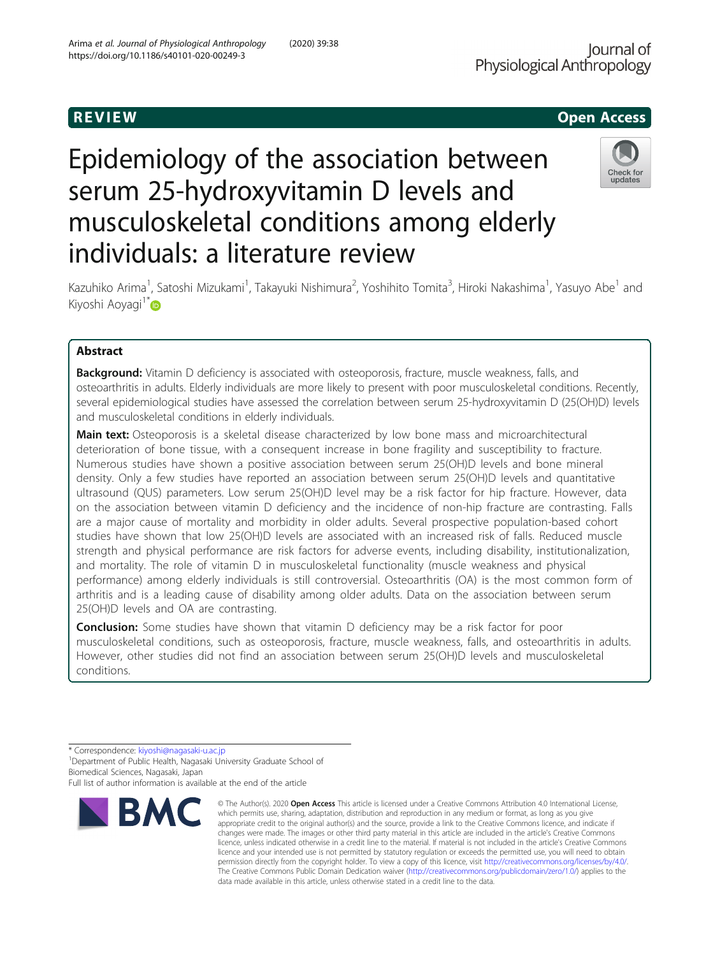# R EVI EW Open Access

# Epidemiology of the association between serum 25-hydroxyvitamin D levels and musculoskeletal conditions among elderly individuals: a literature review



Kazuhiko Arima<sup>1</sup>, Satoshi Mizukami<sup>1</sup>, Takayuki Nishimura<sup>2</sup>, Yoshihito Tomita<sup>3</sup>, Hiroki Nakashima<sup>1</sup>, Yasuyo Abe<sup>1</sup> and Kiyoshi Aoyagi<sup>1[\\*](http://orcid.org/0000-0002-8163-7606)</sup>D

# Abstract

**Background:** Vitamin D deficiency is associated with osteoporosis, fracture, muscle weakness, falls, and osteoarthritis in adults. Elderly individuals are more likely to present with poor musculoskeletal conditions. Recently, several epidemiological studies have assessed the correlation between serum 25-hydroxyvitamin D (25(OH)D) levels and musculoskeletal conditions in elderly individuals.

Main text: Osteoporosis is a skeletal disease characterized by low bone mass and microarchitectural deterioration of bone tissue, with a consequent increase in bone fragility and susceptibility to fracture. Numerous studies have shown a positive association between serum 25(OH)D levels and bone mineral density. Only a few studies have reported an association between serum 25(OH)D levels and quantitative ultrasound (QUS) parameters. Low serum 25(OH)D level may be a risk factor for hip fracture. However, data on the association between vitamin D deficiency and the incidence of non-hip fracture are contrasting. Falls are a major cause of mortality and morbidity in older adults. Several prospective population-based cohort studies have shown that low 25(OH)D levels are associated with an increased risk of falls. Reduced muscle strength and physical performance are risk factors for adverse events, including disability, institutionalization, and mortality. The role of vitamin D in musculoskeletal functionality (muscle weakness and physical performance) among elderly individuals is still controversial. Osteoarthritis (OA) is the most common form of arthritis and is a leading cause of disability among older adults. Data on the association between serum 25(OH)D levels and OA are contrasting.

Conclusion: Some studies have shown that vitamin D deficiency may be a risk factor for poor musculoskeletal conditions, such as osteoporosis, fracture, muscle weakness, falls, and osteoarthritis in adults. However, other studies did not find an association between serum 25(OH)D levels and musculoskeletal conditions.

\* Correspondence: [kiyoshi@nagasaki-u.ac.jp](mailto:kiyoshi@nagasaki-u.ac.jp) <sup>1</sup>

<sup>1</sup> Department of Public Health, Nagasaki University Graduate School of Biomedical Sciences, Nagasaki, Japan

Full list of author information is available at the end of the article



<sup>©</sup> The Author(s), 2020 **Open Access** This article is licensed under a Creative Commons Attribution 4.0 International License, which permits use, sharing, adaptation, distribution and reproduction in any medium or format, as long as you give appropriate credit to the original author(s) and the source, provide a link to the Creative Commons licence, and indicate if changes were made. The images or other third party material in this article are included in the article's Creative Commons licence, unless indicated otherwise in a credit line to the material. If material is not included in the article's Creative Commons licence and your intended use is not permitted by statutory regulation or exceeds the permitted use, you will need to obtain permission directly from the copyright holder. To view a copy of this licence, visit [http://creativecommons.org/licenses/by/4.0/.](http://creativecommons.org/licenses/by/4.0/) The Creative Commons Public Domain Dedication waiver [\(http://creativecommons.org/publicdomain/zero/1.0/](http://creativecommons.org/publicdomain/zero/1.0/)) applies to the data made available in this article, unless otherwise stated in a credit line to the data.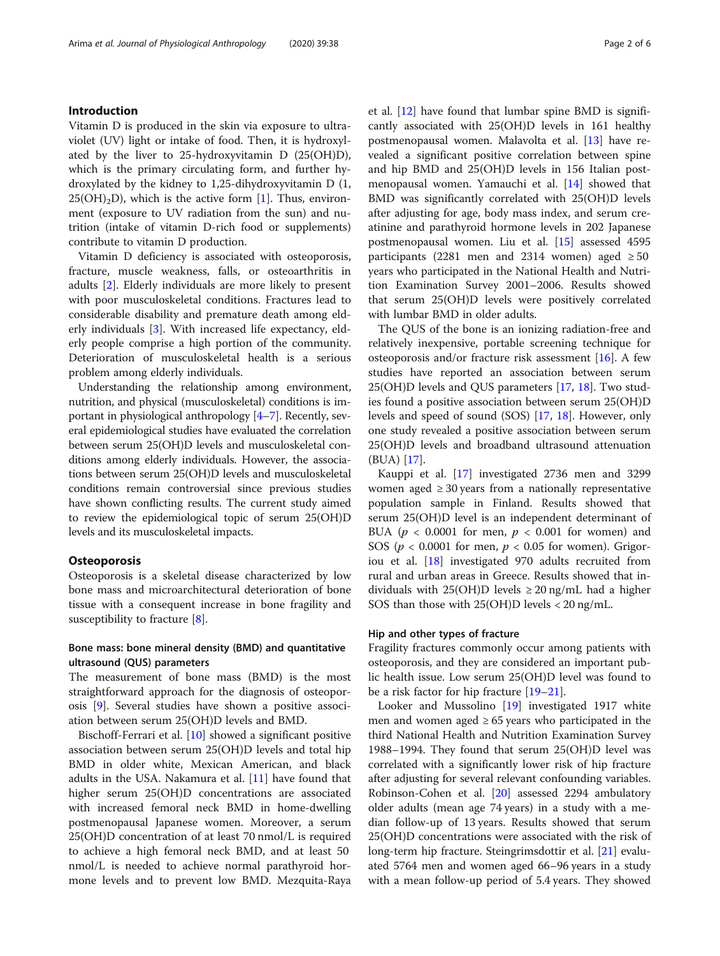# Introduction

Vitamin D is produced in the skin via exposure to ultraviolet (UV) light or intake of food. Then, it is hydroxylated by the liver to 25-hydroxyvitamin D (25(OH)D), which is the primary circulating form, and further hydroxylated by the kidney to 1,25-dihydroxyvitamin D (1,  $25(OH)<sub>2</sub>D$ , which is the active form [\[1](#page-4-0)]. Thus, environment (exposure to UV radiation from the sun) and nutrition (intake of vitamin D-rich food or supplements) contribute to vitamin D production.

Vitamin D deficiency is associated with osteoporosis, fracture, muscle weakness, falls, or osteoarthritis in adults [\[2\]](#page-4-0). Elderly individuals are more likely to present with poor musculoskeletal conditions. Fractures lead to considerable disability and premature death among elderly individuals [[3\]](#page-4-0). With increased life expectancy, elderly people comprise a high portion of the community. Deterioration of musculoskeletal health is a serious problem among elderly individuals.

Understanding the relationship among environment, nutrition, and physical (musculoskeletal) conditions is important in physiological anthropology [\[4](#page-4-0)–[7\]](#page-4-0). Recently, several epidemiological studies have evaluated the correlation between serum 25(OH)D levels and musculoskeletal conditions among elderly individuals. However, the associations between serum 25(OH)D levels and musculoskeletal conditions remain controversial since previous studies have shown conflicting results. The current study aimed to review the epidemiological topic of serum 25(OH)D levels and its musculoskeletal impacts.

## **Osteoporosis**

Osteoporosis is a skeletal disease characterized by low bone mass and microarchitectural deterioration of bone tissue with a consequent increase in bone fragility and susceptibility to fracture [[8\]](#page-4-0).

# Bone mass: bone mineral density (BMD) and quantitative ultrasound (QUS) parameters

The measurement of bone mass (BMD) is the most straightforward approach for the diagnosis of osteoporosis [\[9\]](#page-4-0). Several studies have shown a positive association between serum 25(OH)D levels and BMD.

Bischoff-Ferrari et al. [\[10](#page-4-0)] showed a significant positive association between serum 25(OH)D levels and total hip BMD in older white, Mexican American, and black adults in the USA. Nakamura et al. [\[11\]](#page-4-0) have found that higher serum 25(OH)D concentrations are associated with increased femoral neck BMD in home-dwelling postmenopausal Japanese women. Moreover, a serum 25(OH)D concentration of at least 70 nmol/L is required to achieve a high femoral neck BMD, and at least 50 nmol/L is needed to achieve normal parathyroid hormone levels and to prevent low BMD. Mezquita-Raya et al. [[12](#page-4-0)] have found that lumbar spine BMD is significantly associated with 25(OH)D levels in 161 healthy postmenopausal women. Malavolta et al. [\[13\]](#page-4-0) have revealed a significant positive correlation between spine and hip BMD and 25(OH)D levels in 156 Italian postmenopausal women. Yamauchi et al. [[14](#page-4-0)] showed that BMD was significantly correlated with 25(OH)D levels after adjusting for age, body mass index, and serum creatinine and parathyroid hormone levels in 202 Japanese postmenopausal women. Liu et al. [\[15\]](#page-4-0) assessed 4595 participants (2281 men and 2314 women) aged  $\geq 50$ years who participated in the National Health and Nutrition Examination Survey 2001–2006. Results showed that serum 25(OH)D levels were positively correlated with lumbar BMD in older adults.

The QUS of the bone is an ionizing radiation-free and relatively inexpensive, portable screening technique for osteoporosis and/or fracture risk assessment  $[16]$  $[16]$ . A few studies have reported an association between serum 25(OH)D levels and QUS parameters [\[17](#page-4-0), [18\]](#page-4-0). Two studies found a positive association between serum 25(OH)D levels and speed of sound (SOS) [\[17](#page-4-0), [18](#page-4-0)]. However, only one study revealed a positive association between serum 25(OH)D levels and broadband ultrasound attenuation (BUA) [\[17\]](#page-4-0).

Kauppi et al. [\[17\]](#page-4-0) investigated 2736 men and 3299 women aged  $\geq$  30 years from a nationally representative population sample in Finland. Results showed that serum 25(OH)D level is an independent determinant of BUA ( $p < 0.0001$  for men,  $p < 0.001$  for women) and SOS ( $p < 0.0001$  for men,  $p < 0.05$  for women). Grigoriou et al. [\[18\]](#page-4-0) investigated 970 adults recruited from rural and urban areas in Greece. Results showed that individuals with  $25(OH)D$  levels  $\geq 20$  ng/mL had a higher SOS than those with 25(OH)D levels < 20 ng/mL.

# Hip and other types of fracture

Fragility fractures commonly occur among patients with osteoporosis, and they are considered an important public health issue. Low serum 25(OH)D level was found to be a risk factor for hip fracture [[19](#page-4-0)–[21](#page-4-0)].

Looker and Mussolino [[19\]](#page-4-0) investigated 1917 white men and women aged  $\geq 65$  years who participated in the third National Health and Nutrition Examination Survey 1988–1994. They found that serum 25(OH)D level was correlated with a significantly lower risk of hip fracture after adjusting for several relevant confounding variables. Robinson-Cohen et al. [[20\]](#page-4-0) assessed 2294 ambulatory older adults (mean age 74 years) in a study with a median follow-up of 13 years. Results showed that serum 25(OH)D concentrations were associated with the risk of long-term hip fracture. Steingrimsdottir et al. [[21\]](#page-4-0) evaluated 5764 men and women aged 66–96 years in a study with a mean follow-up period of 5.4 years. They showed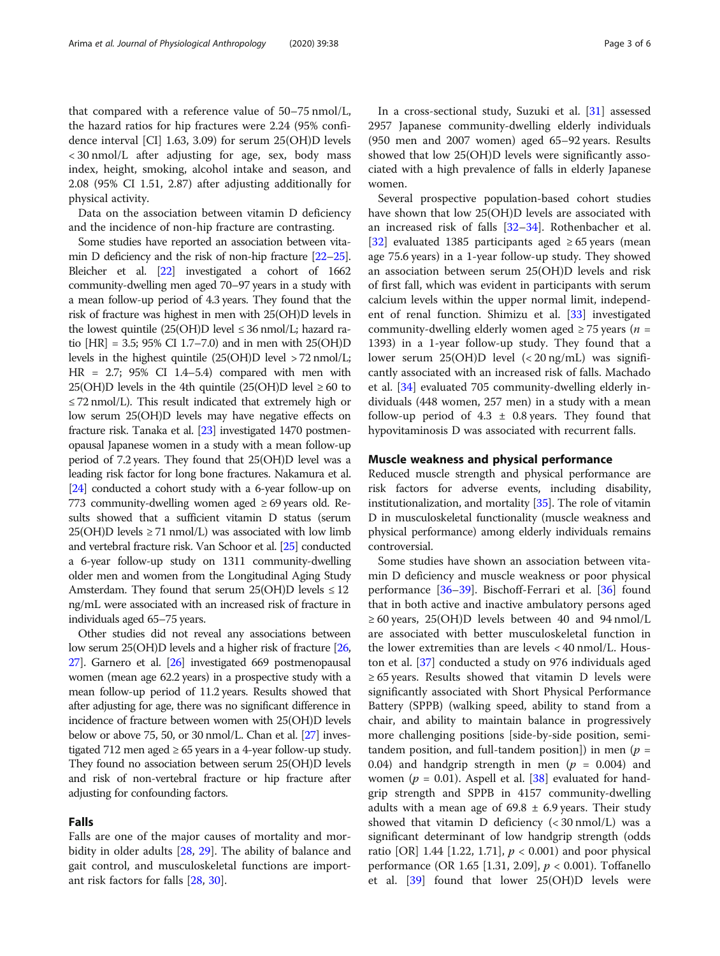that compared with a reference value of 50–75 nmol/L, the hazard ratios for hip fractures were 2.24 (95% confidence interval [CI] 1.63, 3.09) for serum 25(OH)D levels < 30 nmol/L after adjusting for age, sex, body mass index, height, smoking, alcohol intake and season, and 2.08 (95% CI 1.51, 2.87) after adjusting additionally for physical activity.

Data on the association between vitamin D deficiency and the incidence of non-hip fracture are contrasting.

Some studies have reported an association between vitamin D deficiency and the risk of non-hip fracture [[22](#page-4-0)–[25](#page-4-0)]. Bleicher et al. [[22](#page-4-0)] investigated a cohort of 1662 community-dwelling men aged 70–97 years in a study with a mean follow-up period of 4.3 years. They found that the risk of fracture was highest in men with 25(OH)D levels in the lowest quintile (25(OH)D level  $\leq$  36 nmol/L; hazard ratio [HR] = 3.5; 95% CI 1.7–7.0) and in men with 25(OH)D levels in the highest quintile (25(OH)D level > 72 nmol/L; HR = 2.7; 95% CI 1.4–5.4) compared with men with 25(OH)D levels in the 4th quintile (25(OH)D level  $\geq 60$  to ≤ 72 nmol/L). This result indicated that extremely high or low serum 25(OH)D levels may have negative effects on fracture risk. Tanaka et al. [\[23\]](#page-4-0) investigated 1470 postmenopausal Japanese women in a study with a mean follow-up period of 7.2 years. They found that 25(OH)D level was a leading risk factor for long bone fractures. Nakamura et al. [[24](#page-4-0)] conducted a cohort study with a 6-year follow-up on 773 community-dwelling women aged  $\geq 69$  years old. Results showed that a sufficient vitamin D status (serum  $25(OH)D$  levels  $\geq 71$  nmol/L) was associated with low limb and vertebral fracture risk. Van Schoor et al. [\[25\]](#page-4-0) conducted a 6-year follow-up study on 1311 community-dwelling older men and women from the Longitudinal Aging Study Amsterdam. They found that serum 25(OH)D levels  $\leq 12$ ng/mL were associated with an increased risk of fracture in individuals aged 65–75 years.

Other studies did not reveal any associations between low serum 25(OH)D levels and a higher risk of fracture [\[26](#page-4-0), [27](#page-4-0)]. Garnero et al. [[26](#page-4-0)] investigated 669 postmenopausal women (mean age 62.2 years) in a prospective study with a mean follow-up period of 11.2 years. Results showed that after adjusting for age, there was no significant difference in incidence of fracture between women with 25(OH)D levels below or above 75, 50, or 30 nmol/L. Chan et al. [\[27](#page-4-0)] investigated 712 men aged  $\geq 65$  years in a 4-year follow-up study. They found no association between serum 25(OH)D levels and risk of non-vertebral fracture or hip fracture after adjusting for confounding factors.

# Falls

Falls are one of the major causes of mortality and morbidity in older adults [\[28](#page-4-0), [29](#page-4-0)]. The ability of balance and gait control, and musculoskeletal functions are important risk factors for falls [[28,](#page-4-0) [30](#page-4-0)].

In a cross-sectional study, Suzuki et al. [[31\]](#page-4-0) assessed 2957 Japanese community-dwelling elderly individuals (950 men and 2007 women) aged 65–92 years. Results showed that low 25(OH)D levels were significantly associated with a high prevalence of falls in elderly Japanese women.

Several prospective population-based cohort studies have shown that low 25(OH)D levels are associated with an increased risk of falls [[32](#page-4-0)–[34](#page-4-0)]. Rothenbacher et al. [[32\]](#page-4-0) evaluated 1385 participants aged  $\geq 65$  years (mean age 75.6 years) in a 1-year follow-up study. They showed an association between serum 25(OH)D levels and risk of first fall, which was evident in participants with serum calcium levels within the upper normal limit, independent of renal function. Shimizu et al. [\[33\]](#page-4-0) investigated community-dwelling elderly women aged  $\geq$  75 years (*n* = 1393) in a 1-year follow-up study. They found that a lower serum 25(OH)D level (< 20 ng/mL) was significantly associated with an increased risk of falls. Machado et al. [[34](#page-4-0)] evaluated 705 community-dwelling elderly individuals (448 women, 257 men) in a study with a mean follow-up period of  $4.3 \pm 0.8$  years. They found that hypovitaminosis D was associated with recurrent falls.

## Muscle weakness and physical performance

Reduced muscle strength and physical performance are risk factors for adverse events, including disability, institutionalization, and mortality [[35](#page-4-0)]. The role of vitamin D in musculoskeletal functionality (muscle weakness and physical performance) among elderly individuals remains controversial.

Some studies have shown an association between vitamin D deficiency and muscle weakness or poor physical performance [\[36](#page-4-0)–[39\]](#page-5-0). Bischoff-Ferrari et al. [\[36\]](#page-4-0) found that in both active and inactive ambulatory persons aged  $\geq 60$  years, 25(OH)D levels between 40 and 94 nmol/L are associated with better musculoskeletal function in the lower extremities than are levels < 40 nmol/L. Houston et al. [\[37](#page-4-0)] conducted a study on 976 individuals aged ≥ 65 years. Results showed that vitamin D levels were significantly associated with Short Physical Performance Battery (SPPB) (walking speed, ability to stand from a chair, and ability to maintain balance in progressively more challenging positions [side-by-side position, semitandem position, and full-tandem position]) in men ( $p =$ 0.04) and handgrip strength in men ( $p = 0.004$ ) and women ( $p = 0.01$ ). Aspell et al. [[38\]](#page-4-0) evaluated for handgrip strength and SPPB in 4157 community-dwelling adults with a mean age of  $69.8 \pm 6.9$  years. Their study showed that vitamin D deficiency (< 30 nmol/L) was a significant determinant of low handgrip strength (odds ratio [OR] 1.44 [1.22, 1.71],  $p < 0.001$ ) and poor physical performance (OR 1.65 [1.31, 2.09], p < 0.001). Toffanello et al. [\[39\]](#page-5-0) found that lower 25(OH)D levels were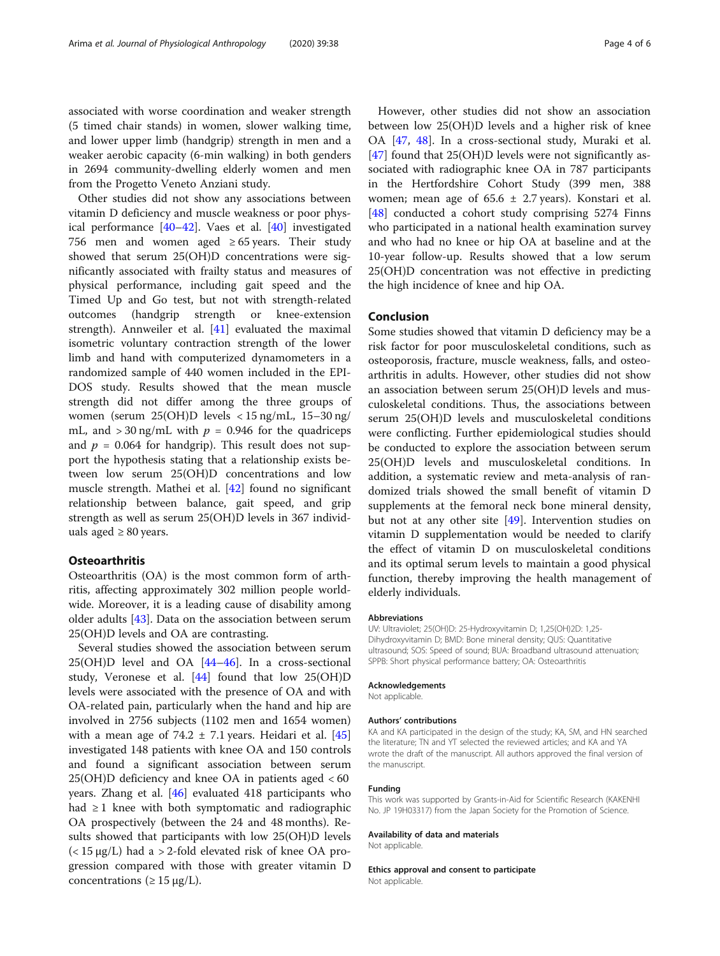associated with worse coordination and weaker strength (5 timed chair stands) in women, slower walking time, and lower upper limb (handgrip) strength in men and a weaker aerobic capacity (6-min walking) in both genders in 2694 community-dwelling elderly women and men from the Progetto Veneto Anziani study.

Other studies did not show any associations between vitamin D deficiency and muscle weakness or poor physical performance [\[40](#page-5-0)–[42\]](#page-5-0). Vaes et al. [\[40](#page-5-0)] investigated 756 men and women aged  $\geq 65$  years. Their study showed that serum 25(OH)D concentrations were significantly associated with frailty status and measures of physical performance, including gait speed and the Timed Up and Go test, but not with strength-related outcomes (handgrip strength or knee-extension strength). Annweiler et al. [[41\]](#page-5-0) evaluated the maximal isometric voluntary contraction strength of the lower limb and hand with computerized dynamometers in a randomized sample of 440 women included in the EPI-DOS study. Results showed that the mean muscle strength did not differ among the three groups of women (serum 25(OH)D levels < 15 ng/mL, 15–30 ng/ mL, and  $>$  30 ng/mL with  $p = 0.946$  for the quadriceps and  $p = 0.064$  for handgrip). This result does not support the hypothesis stating that a relationship exists between low serum 25(OH)D concentrations and low muscle strength. Mathei et al. [[42](#page-5-0)] found no significant relationship between balance, gait speed, and grip strength as well as serum 25(OH)D levels in 367 individuals aged  $\geq 80$  years.

# **Osteoarthritis**

Osteoarthritis (OA) is the most common form of arthritis, affecting approximately 302 million people worldwide. Moreover, it is a leading cause of disability among older adults [\[43](#page-5-0)]. Data on the association between serum 25(OH)D levels and OA are contrasting.

Several studies showed the association between serum  $25(OH)D$  level and  $OA$   $[44–46]$  $[44–46]$  $[44–46]$ . In a cross-sectional study, Veronese et al. [[44](#page-5-0)] found that low 25(OH)D levels were associated with the presence of OA and with OA-related pain, particularly when the hand and hip are involved in 2756 subjects (1102 men and 1654 women) with a mean age of 74.2  $\pm$  7.1 years. Heidari et al. [[45](#page-5-0)] investigated 148 patients with knee OA and 150 controls and found a significant association between serum  $25(OH)D$  deficiency and knee OA in patients aged  $<60$ years. Zhang et al. [\[46](#page-5-0)] evaluated 418 participants who had  $\geq 1$  knee with both symptomatic and radiographic OA prospectively (between the 24 and 48 months). Results showed that participants with low 25(OH)D levels  $\left($  < 15  $\mu$ g/L) had a > 2-fold elevated risk of knee OA progression compared with those with greater vitamin D concentrations ( $\geq$  15 μg/L).

However, other studies did not show an association between low 25(OH)D levels and a higher risk of knee OA [[47](#page-5-0), [48](#page-5-0)]. In a cross-sectional study, Muraki et al. [[47\]](#page-5-0) found that 25(OH)D levels were not significantly associated with radiographic knee OA in 787 participants in the Hertfordshire Cohort Study (399 men, 388 women; mean age of  $65.6 \pm 2.7$  years). Konstari et al. [[48\]](#page-5-0) conducted a cohort study comprising 5274 Finns who participated in a national health examination survey and who had no knee or hip OA at baseline and at the 10-year follow-up. Results showed that a low serum 25(OH)D concentration was not effective in predicting the high incidence of knee and hip OA.

# Conclusion

Some studies showed that vitamin D deficiency may be a risk factor for poor musculoskeletal conditions, such as osteoporosis, fracture, muscle weakness, falls, and osteoarthritis in adults. However, other studies did not show an association between serum 25(OH)D levels and musculoskeletal conditions. Thus, the associations between serum 25(OH)D levels and musculoskeletal conditions were conflicting. Further epidemiological studies should be conducted to explore the association between serum 25(OH)D levels and musculoskeletal conditions. In addition, a systematic review and meta-analysis of randomized trials showed the small benefit of vitamin D supplements at the femoral neck bone mineral density, but not at any other site [\[49](#page-5-0)]. Intervention studies on vitamin D supplementation would be needed to clarify the effect of vitamin D on musculoskeletal conditions and its optimal serum levels to maintain a good physical function, thereby improving the health management of elderly individuals.

#### Abbreviations

UV: Ultraviolet; 25(OH)D: 25-Hydroxyvitamin D; 1,25(OH)2D: 1,25- Dihydroxyvitamin D; BMD: Bone mineral density; QUS: Quantitative ultrasound; SOS: Speed of sound; BUA: Broadband ultrasound attenuation; SPPB: Short physical performance battery; OA: Osteoarthritis

#### Acknowledgements

Not applicable.

#### Authors' contributions

KA and KA participated in the design of the study; KA, SM, and HN searched the literature; TN and YT selected the reviewed articles; and KA and YA wrote the draft of the manuscript. All authors approved the final version of the manuscript.

#### Funding

This work was supported by Grants-in-Aid for Scientific Research (KAKENHI No. JP 19H03317) from the Japan Society for the Promotion of Science.

#### Availability of data and materials

Not applicable.

Ethics approval and consent to participate Not applicable.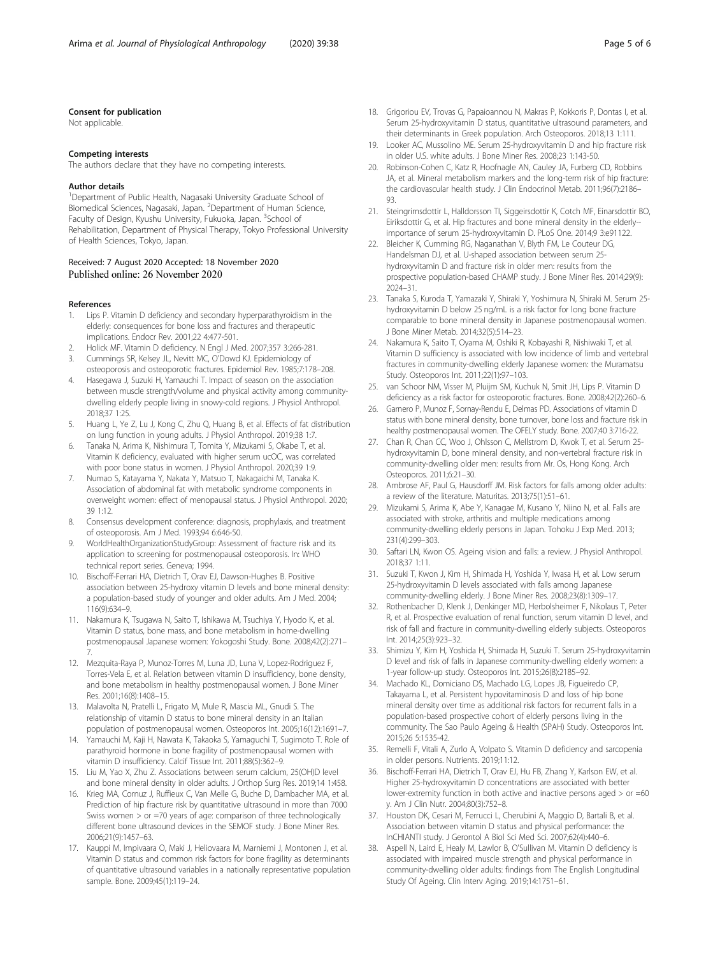#### <span id="page-4-0"></span>Consent for publication

Not applicable.

#### Competing interests

The authors declare that they have no competing interests.

#### Author details

<sup>1</sup>Department of Public Health, Nagasaki University Graduate School of Biomedical Sciences, Nagasaki, Japan. <sup>2</sup>Department of Human Science, Faculty of Design, Kyushu University, Fukuoka, Japan. <sup>3</sup>School of Rehabilitation, Department of Physical Therapy, Tokyo Professional University of Health Sciences, Tokyo, Japan.

### Received: 7 August 2020 Accepted: 18 November 2020 Published online: 26 November 2020

#### References

- Lips P. Vitamin D deficiency and secondary hyperparathyroidism in the elderly: consequences for bone loss and fractures and therapeutic implications. Endocr Rev. 2001;22 4:477-501.
- 2. Holick MF. Vitamin D deficiency. N Engl J Med. 2007;357 3:266-281. 3. Cummings SR, Kelsey JL, Nevitt MC, O'Dowd KJ. Epidemiology of
- osteoporosis and osteoporotic fractures. Epidemiol Rev. 1985;7:178–208. 4. Hasegawa J, Suzuki H, Yamauchi T. Impact of season on the association
- between muscle strength/volume and physical activity among communitydwelling elderly people living in snowy-cold regions. J Physiol Anthropol. 2018;37 1:25.
- 5. Huang L, Ye Z, Lu J, Kong C, Zhu Q, Huang B, et al. Effects of fat distribution on lung function in young adults. J Physiol Anthropol. 2019;38 1:7.
- Tanaka N, Arima K, Nishimura T, Tomita Y, Mizukami S, Okabe T, et al. Vitamin K deficiency, evaluated with higher serum ucOC, was correlated with poor bone status in women. J Physiol Anthropol. 2020;39 1:9.
- 7. Numao S, Katayama Y, Nakata Y, Matsuo T, Nakagaichi M, Tanaka K. Association of abdominal fat with metabolic syndrome components in overweight women: effect of menopausal status. J Physiol Anthropol. 2020; 39 1:12.
- 8. Consensus development conference: diagnosis, prophylaxis, and treatment of osteoporosis. Am J Med. 1993;94 6:646-50.
- 9. WorldHealthOrganizationStudyGroup: Assessment of fracture risk and its application to screening for postmenopausal osteoporosis. In: WHO technical report series. Geneva; 1994.
- 10. Bischoff-Ferrari HA, Dietrich T, Orav EJ, Dawson-Hughes B. Positive association between 25-hydroxy vitamin D levels and bone mineral density: a population-based study of younger and older adults. Am J Med. 2004; 116(9):634–9.
- 11. Nakamura K, Tsugawa N, Saito T, Ishikawa M, Tsuchiya Y, Hyodo K, et al. Vitamin D status, bone mass, and bone metabolism in home-dwelling postmenopausal Japanese women: Yokogoshi Study. Bone. 2008;42(2):271– 7.
- 12. Mezquita-Raya P, Munoz-Torres M, Luna JD, Luna V, Lopez-Rodriguez F, Torres-Vela E, et al. Relation between vitamin D insufficiency, bone density, and bone metabolism in healthy postmenopausal women. J Bone Miner Res. 2001;16(8):1408–15.
- 13. Malavolta N, Pratelli L, Frigato M, Mule R, Mascia ML, Gnudi S. The relationship of vitamin D status to bone mineral density in an Italian population of postmenopausal women. Osteoporos Int. 2005;16(12):1691–7.
- 14. Yamauchi M, Kaji H, Nawata K, Takaoka S, Yamaguchi T, Sugimoto T. Role of parathyroid hormone in bone fragility of postmenopausal women with vitamin D insufficiency. Calcif Tissue Int. 2011;88(5):362–9.
- 15. Liu M, Yao X, Zhu Z. Associations between serum calcium, 25(OH)D level and bone mineral density in older adults. J Orthop Surg Res. 2019;14 1:458.
- 16. Krieg MA, Cornuz J, Ruffieux C, Van Melle G, Buche D, Dambacher MA, et al. Prediction of hip fracture risk by quantitative ultrasound in more than 7000 Swiss women > or =70 years of age: comparison of three technologically different bone ultrasound devices in the SEMOF study. J Bone Miner Res. 2006;21(9):1457–63.
- 17. Kauppi M, Impivaara O, Maki J, Heliovaara M, Marniemi J, Montonen J, et al. Vitamin D status and common risk factors for bone fragility as determinants of quantitative ultrasound variables in a nationally representative population sample. Bone. 2009;45(1):119–24.
- 18. Grigoriou EV, Trovas G, Papaioannou N, Makras P, Kokkoris P, Dontas I, et al. Serum 25-hydroxyvitamin D status, quantitative ultrasound parameters, and their determinants in Greek population. Arch Osteoporos. 2018;13 1:111.
- 19. Looker AC, Mussolino ME. Serum 25-hydroxyvitamin D and hip fracture risk in older U.S. white adults. J Bone Miner Res. 2008;23 1:143-50.
- 20. Robinson-Cohen C, Katz R, Hoofnagle AN, Cauley JA, Furberg CD, Robbins JA, et al. Mineral metabolism markers and the long-term risk of hip fracture: the cardiovascular health study. J Clin Endocrinol Metab. 2011;96(7):2186– 93.
- 21. Steingrimsdottir L, Halldorsson Tl, Siggeirsdottir K, Cotch MF, Einarsdottir BO, Eiriksdottir G, et al. Hip fractures and bone mineral density in the elderly- importance of serum 25-hydroxyvitamin D. PLoS One. 2014;9 3:e91122.
- 22. Bleicher K, Cumming RG, Naganathan V, Blyth FM, Le Couteur DG, Handelsman DJ, et al. U-shaped association between serum 25 hydroxyvitamin D and fracture risk in older men: results from the prospective population-based CHAMP study. J Bone Miner Res. 2014;29(9): 2024–31.
- 23. Tanaka S, Kuroda T, Yamazaki Y, Shiraki Y, Yoshimura N, Shiraki M. Serum 25 hydroxyvitamin D below 25 ng/mL is a risk factor for long bone fracture comparable to bone mineral density in Japanese postmenopausal women. J Bone Miner Metab. 2014;32(5):514–23.
- 24. Nakamura K, Saito T, Oyama M, Oshiki R, Kobayashi R, Nishiwaki T, et al. Vitamin D sufficiency is associated with low incidence of limb and vertebral fractures in community-dwelling elderly Japanese women: the Muramatsu Study. Osteoporos Int. 2011;22(1):97–103.
- 25. van Schoor NM, Visser M, Pluijm SM, Kuchuk N, Smit JH, Lips P. Vitamin D deficiency as a risk factor for osteoporotic fractures. Bone. 2008;42(2):260–6.
- 26. Garnero P, Munoz F, Sornay-Rendu E, Delmas PD. Associations of vitamin D status with bone mineral density, bone turnover, bone loss and fracture risk in healthy postmenopausal women. The OFELY study. Bone. 2007;40 3:716-22.
- 27. Chan R, Chan CC, Woo J, Ohlsson C, Mellstrom D, Kwok T, et al. Serum 25 hydroxyvitamin D, bone mineral density, and non-vertebral fracture risk in community-dwelling older men: results from Mr. Os, Hong Kong. Arch Osteoporos. 2011;6:21–30.
- 28. Ambrose AF, Paul G, Hausdorff JM. Risk factors for falls among older adults: a review of the literature. Maturitas. 2013;75(1):51–61.
- 29. Mizukami S, Arima K, Abe Y, Kanagae M, Kusano Y, Niino N, et al. Falls are associated with stroke, arthritis and multiple medications among community-dwelling elderly persons in Japan. Tohoku J Exp Med. 2013; 231(4):299–303.
- 30. Saftari LN, Kwon OS. Ageing vision and falls: a review. J Physiol Anthropol. 2018;37 1:11.
- 31. Suzuki T, Kwon J, Kim H, Shimada H, Yoshida Y, Iwasa H, et al. Low serum 25-hydroxyvitamin D levels associated with falls among Japanese community-dwelling elderly. J Bone Miner Res. 2008;23(8):1309–17.
- 32. Rothenbacher D, Klenk J, Denkinger MD, Herbolsheimer F, Nikolaus T, Peter R, et al. Prospective evaluation of renal function, serum vitamin D level, and risk of fall and fracture in community-dwelling elderly subjects. Osteoporos Int. 2014;25(3):923–32.
- 33. Shimizu Y, Kim H, Yoshida H, Shimada H, Suzuki T. Serum 25-hydroxyvitamin D level and risk of falls in Japanese community-dwelling elderly women: a 1-year follow-up study. Osteoporos Int. 2015;26(8):2185–92.
- 34. Machado KL, Domiciano DS, Machado LG, Lopes JB, Figueiredo CP, Takayama L, et al. Persistent hypovitaminosis D and loss of hip bone mineral density over time as additional risk factors for recurrent falls in a population-based prospective cohort of elderly persons living in the community. The Sao Paulo Ageing & Health (SPAH) Study. Osteoporos Int. 2015;26 5:1535-42.
- 35. Remelli F, Vitali A, Zurlo A, Volpato S. Vitamin D deficiency and sarcopenia in older persons. Nutrients. 2019;11:12.
- 36. Bischoff-Ferrari HA, Dietrich T, Orav EJ, Hu FB, Zhang Y, Karlson EW, et al. Higher 25-hydroxyvitamin D concentrations are associated with better lower-extremity function in both active and inactive persons aged > or =60 y. Am J Clin Nutr. 2004;80(3):752–8.
- 37. Houston DK, Cesari M, Ferrucci L, Cherubini A, Maggio D, Bartali B, et al. Association between vitamin D status and physical performance: the InCHIANTI study. J Gerontol A Biol Sci Med Sci. 2007;62(4):440–6.
- 38. Aspell N, Laird E, Healy M, Lawlor B, O'Sullivan M. Vitamin D deficiency is associated with impaired muscle strength and physical performance in community-dwelling older adults: findings from The English Longitudinal Study Of Ageing. Clin Interv Aging. 2019;14:1751–61.